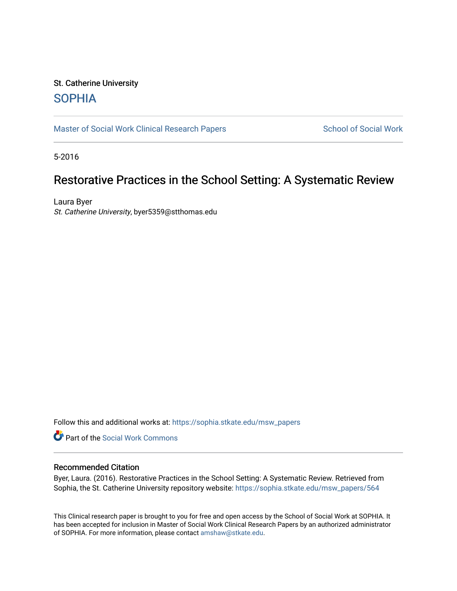# St. Catherine University [SOPHIA](https://sophia.stkate.edu/)

[Master of Social Work Clinical Research Papers](https://sophia.stkate.edu/msw_papers) School of Social Work

5-2016

# Restorative Practices in the School Setting: A Systematic Review

Laura Byer St. Catherine University, byer5359@stthomas.edu

Follow this and additional works at: [https://sophia.stkate.edu/msw\\_papers](https://sophia.stkate.edu/msw_papers?utm_source=sophia.stkate.edu%2Fmsw_papers%2F564&utm_medium=PDF&utm_campaign=PDFCoverPages) 

Part of the [Social Work Commons](http://network.bepress.com/hgg/discipline/713?utm_source=sophia.stkate.edu%2Fmsw_papers%2F564&utm_medium=PDF&utm_campaign=PDFCoverPages)

# Recommended Citation

Byer, Laura. (2016). Restorative Practices in the School Setting: A Systematic Review. Retrieved from Sophia, the St. Catherine University repository website: [https://sophia.stkate.edu/msw\\_papers/564](https://sophia.stkate.edu/msw_papers/564?utm_source=sophia.stkate.edu%2Fmsw_papers%2F564&utm_medium=PDF&utm_campaign=PDFCoverPages)

This Clinical research paper is brought to you for free and open access by the School of Social Work at SOPHIA. It has been accepted for inclusion in Master of Social Work Clinical Research Papers by an authorized administrator of SOPHIA. For more information, please contact [amshaw@stkate.edu.](mailto:amshaw@stkate.edu)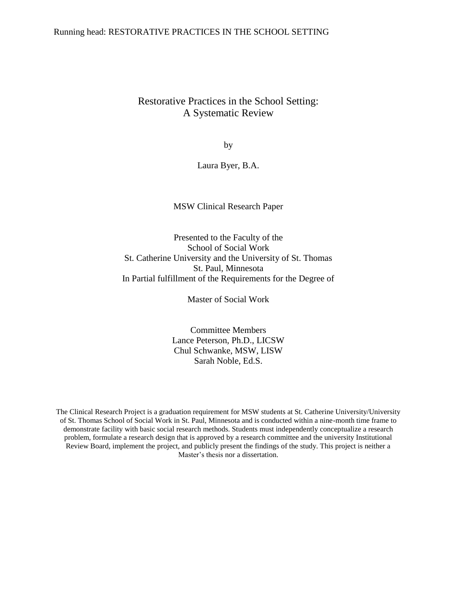# Restorative Practices in the School Setting: A Systematic Review

by

Laura Byer, B.A.

# MSW Clinical Research Paper

Presented to the Faculty of the School of Social Work St. Catherine University and the University of St. Thomas St. Paul, Minnesota In Partial fulfillment of the Requirements for the Degree of

Master of Social Work

Committee Members Lance Peterson, Ph.D., LICSW Chul Schwanke, MSW, LISW Sarah Noble, Ed.S.

The Clinical Research Project is a graduation requirement for MSW students at St. Catherine University/University of St. Thomas School of Social Work in St. Paul, Minnesota and is conducted within a nine-month time frame to demonstrate facility with basic social research methods. Students must independently conceptualize a research problem, formulate a research design that is approved by a research committee and the university Institutional Review Board, implement the project, and publicly present the findings of the study. This project is neither a Master's thesis nor a dissertation.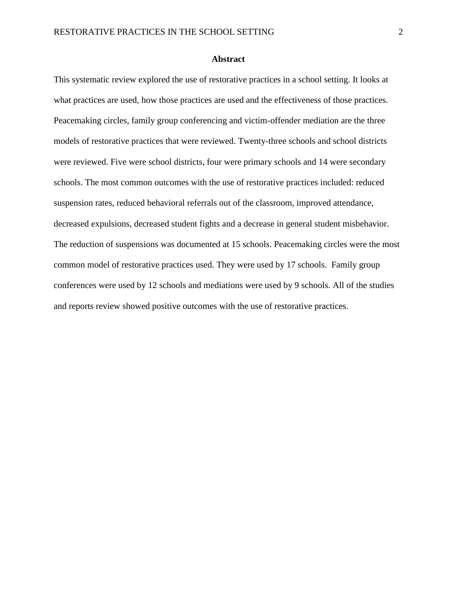#### **Abstract**

This systematic review explored the use of restorative practices in a school setting. It looks at what practices are used, how those practices are used and the effectiveness of those practices. Peacemaking circles, family group conferencing and victim-offender mediation are the three models of restorative practices that were reviewed. Twenty-three schools and school districts were reviewed. Five were school districts, four were primary schools and 14 were secondary schools. The most common outcomes with the use of restorative practices included: reduced suspension rates, reduced behavioral referrals out of the classroom, improved attendance, decreased expulsions, decreased student fights and a decrease in general student misbehavior. The reduction of suspensions was documented at 15 schools. Peacemaking circles were the most common model of restorative practices used. They were used by 17 schools. Family group conferences were used by 12 schools and mediations were used by 9 schools. All of the studies and reports review showed positive outcomes with the use of restorative practices.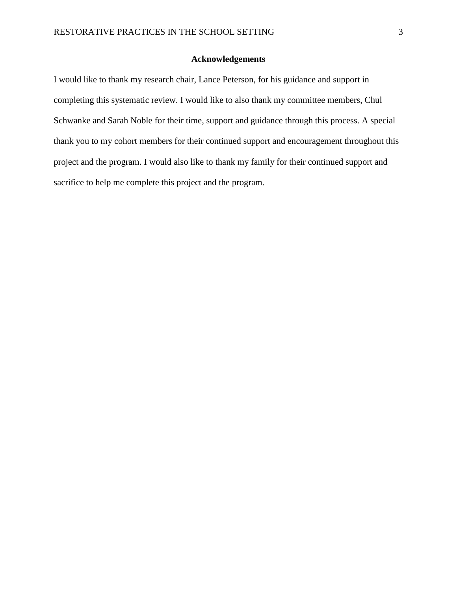# **Acknowledgements**

I would like to thank my research chair, Lance Peterson, for his guidance and support in completing this systematic review. I would like to also thank my committee members, Chul Schwanke and Sarah Noble for their time, support and guidance through this process. A special thank you to my cohort members for their continued support and encouragement throughout this project and the program. I would also like to thank my family for their continued support and sacrifice to help me complete this project and the program.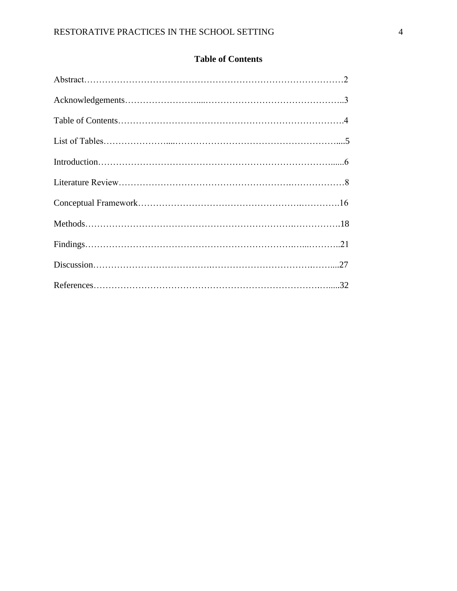# **Table of Contents**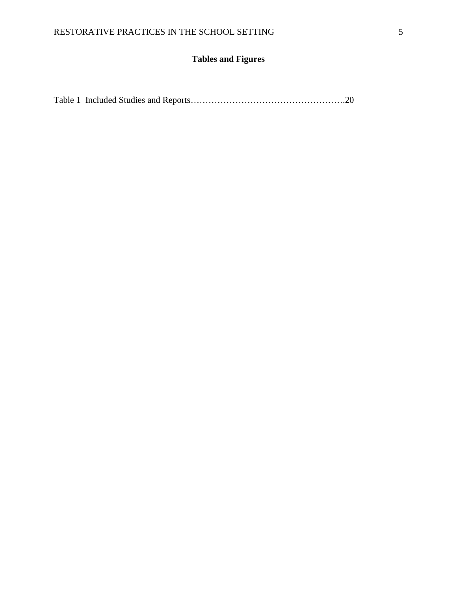# **Tables and Figures**

|--|--|--|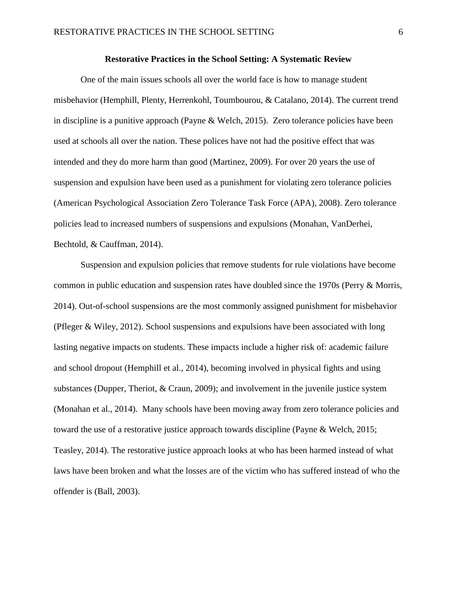#### **Restorative Practices in the School Setting: A Systematic Review**

One of the main issues schools all over the world face is how to manage student misbehavior (Hemphill, Plenty, Herrenkohl, Toumbourou, & Catalano, 2014). The current trend in discipline is a punitive approach (Payne & Welch, 2015). Zero tolerance policies have been used at schools all over the nation. These polices have not had the positive effect that was intended and they do more harm than good (Martinez, 2009). For over 20 years the use of suspension and expulsion have been used as a punishment for violating zero tolerance policies (American Psychological Association Zero Tolerance Task Force (APA), 2008). Zero tolerance policies lead to increased numbers of suspensions and expulsions (Monahan, VanDerhei, Bechtold, & Cauffman, 2014).

Suspension and expulsion policies that remove students for rule violations have become common in public education and suspension rates have doubled since the 1970s (Perry & Morris, 2014). Out-of-school suspensions are the most commonly assigned punishment for misbehavior (Pfleger & Wiley, 2012). School suspensions and expulsions have been associated with long lasting negative impacts on students. These impacts include a higher risk of: academic failure and school dropout (Hemphill et al., 2014), becoming involved in physical fights and using substances (Dupper, Theriot, & Craun, 2009); and involvement in the juvenile justice system (Monahan et al., 2014). Many schools have been moving away from zero tolerance policies and toward the use of a restorative justice approach towards discipline (Payne & Welch, 2015; Teasley, 2014). The restorative justice approach looks at who has been harmed instead of what laws have been broken and what the losses are of the victim who has suffered instead of who the offender is (Ball, 2003).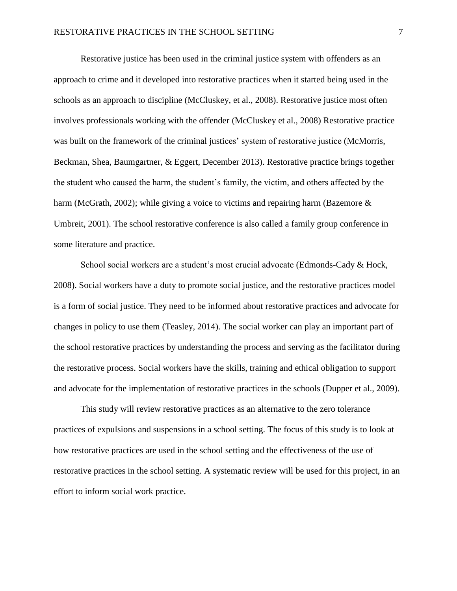Restorative justice has been used in the criminal justice system with offenders as an approach to crime and it developed into restorative practices when it started being used in the schools as an approach to discipline (McCluskey, et al., 2008). Restorative justice most often involves professionals working with the offender (McCluskey et al., 2008) Restorative practice was built on the framework of the criminal justices' system of restorative justice (McMorris, Beckman, Shea, Baumgartner, & Eggert, December 2013). Restorative practice brings together the student who caused the harm, the student's family, the victim, and others affected by the harm (McGrath, 2002); while giving a voice to victims and repairing harm (Bazemore  $\&$ Umbreit, 2001). The school restorative conference is also called a family group conference in some literature and practice.

School social workers are a student's most crucial advocate (Edmonds-Cady & Hock, 2008). Social workers have a duty to promote social justice, and the restorative practices model is a form of social justice. They need to be informed about restorative practices and advocate for changes in policy to use them (Teasley, 2014). The social worker can play an important part of the school restorative practices by understanding the process and serving as the facilitator during the restorative process. Social workers have the skills, training and ethical obligation to support and advocate for the implementation of restorative practices in the schools (Dupper et al., 2009).

This study will review restorative practices as an alternative to the zero tolerance practices of expulsions and suspensions in a school setting. The focus of this study is to look at how restorative practices are used in the school setting and the effectiveness of the use of restorative practices in the school setting. A systematic review will be used for this project, in an effort to inform social work practice.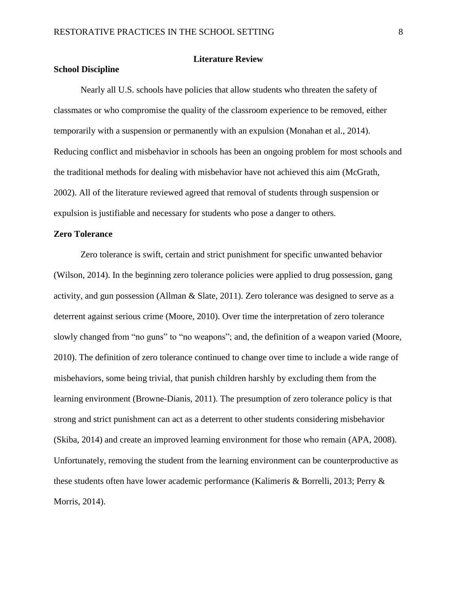# **Literature Review**

### **School Discipline**

Nearly all U.S. schools have policies that allow students who threaten the safety of classmates or who compromise the quality of the classroom experience to be removed, either temporarily with a suspension or permanently with an expulsion (Monahan et al., 2014). Reducing conflict and misbehavior in schools has been an ongoing problem for most schools and the traditional methods for dealing with misbehavior have not achieved this aim (McGrath, 2002). All of the literature reviewed agreed that removal of students through suspension or expulsion is justifiable and necessary for students who pose a danger to others.

# **Zero Tolerance**

Zero tolerance is swift, certain and strict punishment for specific unwanted behavior (Wilson, 2014). In the beginning zero tolerance policies were applied to drug possession, gang activity, and gun possession (Allman & Slate, 2011). Zero tolerance was designed to serve as a deterrent against serious crime (Moore, 2010). Over time the interpretation of zero tolerance slowly changed from "no guns" to "no weapons"; and, the definition of a weapon varied (Moore, 2010). The definition of zero tolerance continued to change over time to include a wide range of misbehaviors, some being trivial, that punish children harshly by excluding them from the learning environment (Browne-Dianis, 2011). The presumption of zero tolerance policy is that strong and strict punishment can act as a deterrent to other students considering misbehavior (Skiba, 2014) and create an improved learning environment for those who remain (APA, 2008). Unfortunately, removing the student from the learning environment can be counterproductive as these students often have lower academic performance (Kalimeris & Borrelli, 2013; Perry & Morris, 2014).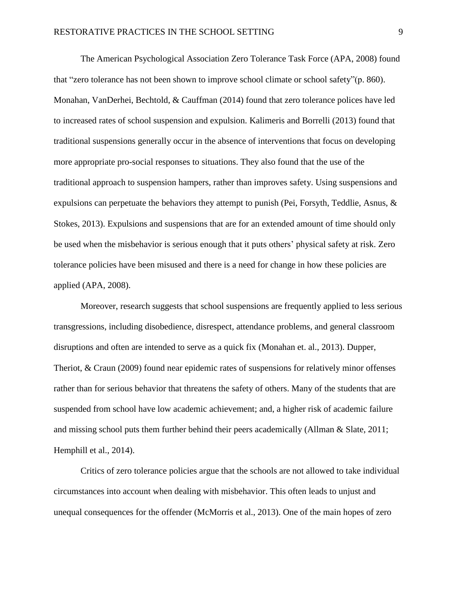The American Psychological Association Zero Tolerance Task Force (APA, 2008) found that "zero tolerance has not been shown to improve school climate or school safety"(p. 860). Monahan, VanDerhei, Bechtold, & Cauffman (2014) found that zero tolerance polices have led to increased rates of school suspension and expulsion. Kalimeris and Borrelli (2013) found that traditional suspensions generally occur in the absence of interventions that focus on developing more appropriate pro-social responses to situations. They also found that the use of the traditional approach to suspension hampers, rather than improves safety. Using suspensions and expulsions can perpetuate the behaviors they attempt to punish (Pei, Forsyth, Teddlie, Asnus, & Stokes, 2013). Expulsions and suspensions that are for an extended amount of time should only be used when the misbehavior is serious enough that it puts others' physical safety at risk. Zero tolerance policies have been misused and there is a need for change in how these policies are applied (APA, 2008).

Moreover, research suggests that school suspensions are frequently applied to less serious transgressions, including disobedience, disrespect, attendance problems, and general classroom disruptions and often are intended to serve as a quick fix (Monahan et. al., 2013). Dupper, Theriot, & Craun (2009) found near epidemic rates of suspensions for relatively minor offenses rather than for serious behavior that threatens the safety of others. Many of the students that are suspended from school have low academic achievement; and, a higher risk of academic failure and missing school puts them further behind their peers academically (Allman & Slate, 2011; Hemphill et al., 2014).

Critics of zero tolerance policies argue that the schools are not allowed to take individual circumstances into account when dealing with misbehavior. This often leads to unjust and unequal consequences for the offender (McMorris et al., 2013). One of the main hopes of zero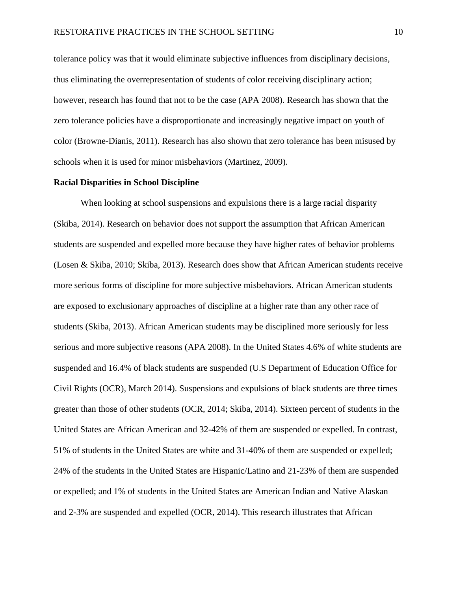tolerance policy was that it would eliminate subjective influences from disciplinary decisions, thus eliminating the overrepresentation of students of color receiving disciplinary action; however, research has found that not to be the case (APA 2008). Research has shown that the zero tolerance policies have a disproportionate and increasingly negative impact on youth of color (Browne-Dianis, 2011). Research has also shown that zero tolerance has been misused by schools when it is used for minor misbehaviors (Martinez, 2009).

#### **Racial Disparities in School Discipline**

When looking at school suspensions and expulsions there is a large racial disparity (Skiba, 2014). Research on behavior does not support the assumption that African American students are suspended and expelled more because they have higher rates of behavior problems (Losen & Skiba, 2010; Skiba, 2013). Research does show that African American students receive more serious forms of discipline for more subjective misbehaviors. African American students are exposed to exclusionary approaches of discipline at a higher rate than any other race of students (Skiba, 2013). African American students may be disciplined more seriously for less serious and more subjective reasons (APA 2008). In the United States 4.6% of white students are suspended and 16.4% of black students are suspended (U.S Department of Education Office for Civil Rights (OCR), March 2014). Suspensions and expulsions of black students are three times greater than those of other students (OCR, 2014; Skiba, 2014). Sixteen percent of students in the United States are African American and 32-42% of them are suspended or expelled. In contrast, 51% of students in the United States are white and 31-40% of them are suspended or expelled; 24% of the students in the United States are Hispanic/Latino and 21-23% of them are suspended or expelled; and 1% of students in the United States are American Indian and Native Alaskan and 2-3% are suspended and expelled (OCR, 2014). This research illustrates that African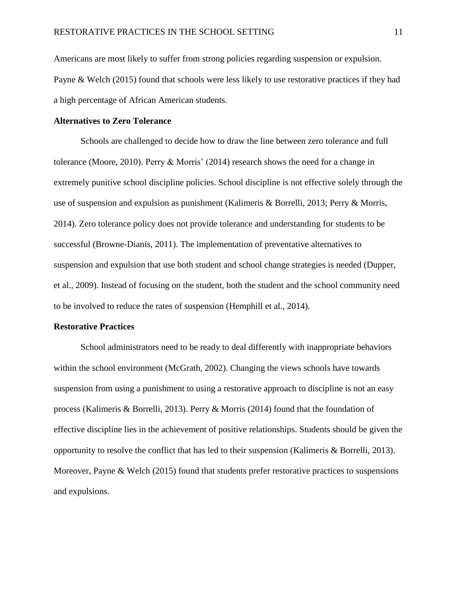Americans are most likely to suffer from strong policies regarding suspension or expulsion. Payne & Welch (2015) found that schools were less likely to use restorative practices if they had a high percentage of African American students.

#### **Alternatives to Zero Tolerance**

Schools are challenged to decide how to draw the line between zero tolerance and full tolerance (Moore, 2010). Perry & Morris' (2014) research shows the need for a change in extremely punitive school discipline policies. School discipline is not effective solely through the use of suspension and expulsion as punishment (Kalimeris & Borrelli, 2013; Perry & Morris, 2014). Zero tolerance policy does not provide tolerance and understanding for students to be successful (Browne-Dianis, 2011). The implementation of preventative alternatives to suspension and expulsion that use both student and school change strategies is needed (Dupper, et al., 2009). Instead of focusing on the student, both the student and the school community need to be involved to reduce the rates of suspension (Hemphill et al., 2014).

#### **Restorative Practices**

School administrators need to be ready to deal differently with inappropriate behaviors within the school environment (McGrath, 2002). Changing the views schools have towards suspension from using a punishment to using a restorative approach to discipline is not an easy process (Kalimeris & Borrelli, 2013). Perry & Morris (2014) found that the foundation of effective discipline lies in the achievement of positive relationships. Students should be given the opportunity to resolve the conflict that has led to their suspension (Kalimeris & Borrelli, 2013). Moreover, Payne & Welch (2015) found that students prefer restorative practices to suspensions and expulsions.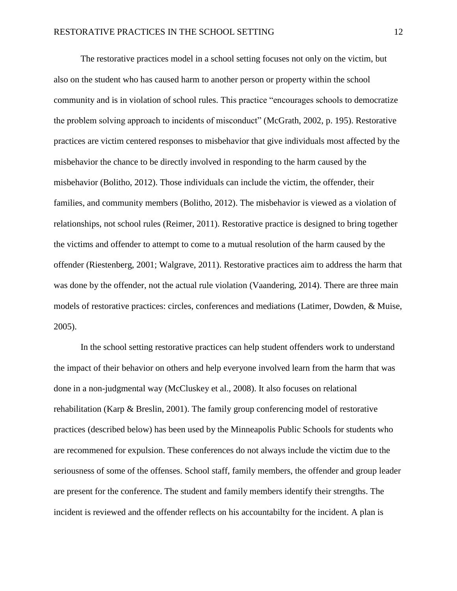The restorative practices model in a school setting focuses not only on the victim, but also on the student who has caused harm to another person or property within the school community and is in violation of school rules. This practice "encourages schools to democratize the problem solving approach to incidents of misconduct" (McGrath, 2002, p. 195). Restorative practices are victim centered responses to misbehavior that give individuals most affected by the misbehavior the chance to be directly involved in responding to the harm caused by the misbehavior (Bolitho, 2012). Those individuals can include the victim, the offender, their families, and community members (Bolitho, 2012). The misbehavior is viewed as a violation of relationships, not school rules (Reimer, 2011). Restorative practice is designed to bring together the victims and offender to attempt to come to a mutual resolution of the harm caused by the offender (Riestenberg, 2001; Walgrave, 2011). Restorative practices aim to address the harm that was done by the offender, not the actual rule violation (Vaandering, 2014). There are three main models of restorative practices: circles, conferences and mediations (Latimer, Dowden, & Muise, 2005).

In the school setting restorative practices can help student offenders work to understand the impact of their behavior on others and help everyone involved learn from the harm that was done in a non-judgmental way (McCluskey et al., 2008). It also focuses on relational rehabilitation (Karp & Breslin, 2001). The family group conferencing model of restorative practices (described below) has been used by the Minneapolis Public Schools for students who are recommened for expulsion. These conferences do not always include the victim due to the seriousness of some of the offenses. School staff, family members, the offender and group leader are present for the conference. The student and family members identify their strengths. The incident is reviewed and the offender reflects on his accountabilty for the incident. A plan is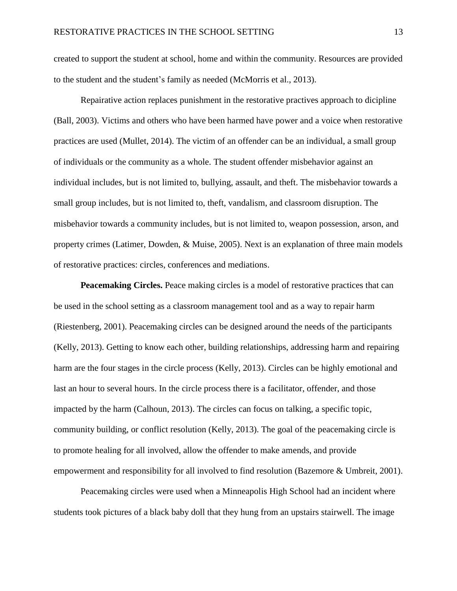created to support the student at school, home and within the community. Resources are provided to the student and the student's family as needed (McMorris et al., 2013).

Repairative action replaces punishment in the restorative practives approach to dicipline (Ball, 2003). Victims and others who have been harmed have power and a voice when restorative practices are used (Mullet, 2014). The victim of an offender can be an individual, a small group of individuals or the community as a whole. The student offender misbehavior against an individual includes, but is not limited to, bullying, assault, and theft. The misbehavior towards a small group includes, but is not limited to, theft, vandalism, and classroom disruption. The misbehavior towards a community includes, but is not limited to, weapon possession, arson, and property crimes (Latimer, Dowden, & Muise, 2005). Next is an explanation of three main models of restorative practices: circles, conferences and mediations.

**Peacemaking Circles.** Peace making circles is a model of restorative practices that can be used in the school setting as a classroom management tool and as a way to repair harm (Riestenberg, 2001). Peacemaking circles can be designed around the needs of the participants (Kelly, 2013). Getting to know each other, building relationships, addressing harm and repairing harm are the four stages in the circle process (Kelly, 2013). Circles can be highly emotional and last an hour to several hours. In the circle process there is a facilitator, offender, and those impacted by the harm (Calhoun, 2013). The circles can focus on talking, a specific topic, community building, or conflict resolution (Kelly, 2013). The goal of the peacemaking circle is to promote healing for all involved, allow the offender to make amends, and provide empowerment and responsibility for all involved to find resolution (Bazemore & Umbreit, 2001).

Peacemaking circles were used when a Minneapolis High School had an incident where students took pictures of a black baby doll that they hung from an upstairs stairwell. The image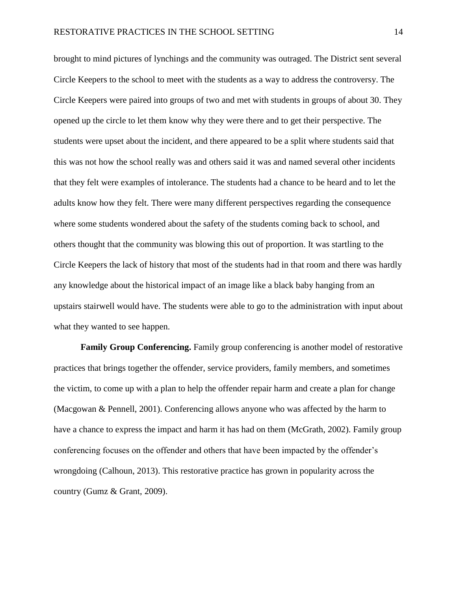brought to mind pictures of lynchings and the community was outraged. The District sent several Circle Keepers to the school to meet with the students as a way to address the controversy. The Circle Keepers were paired into groups of two and met with students in groups of about 30. They opened up the circle to let them know why they were there and to get their perspective. The students were upset about the incident, and there appeared to be a split where students said that this was not how the school really was and others said it was and named several other incidents that they felt were examples of intolerance. The students had a chance to be heard and to let the adults know how they felt. There were many different perspectives regarding the consequence where some students wondered about the safety of the students coming back to school, and others thought that the community was blowing this out of proportion. It was startling to the Circle Keepers the lack of history that most of the students had in that room and there was hardly any knowledge about the historical impact of an image like a black baby hanging from an upstairs stairwell would have. The students were able to go to the administration with input about what they wanted to see happen.

**Family Group Conferencing.** Family group conferencing is another model of restorative practices that brings together the offender, service providers, family members, and sometimes the victim, to come up with a plan to help the offender repair harm and create a plan for change (Macgowan & Pennell, 2001). Conferencing allows anyone who was affected by the harm to have a chance to express the impact and harm it has had on them (McGrath, 2002). Family group conferencing focuses on the offender and others that have been impacted by the offender's wrongdoing (Calhoun, 2013). This restorative practice has grown in popularity across the country (Gumz & Grant, 2009).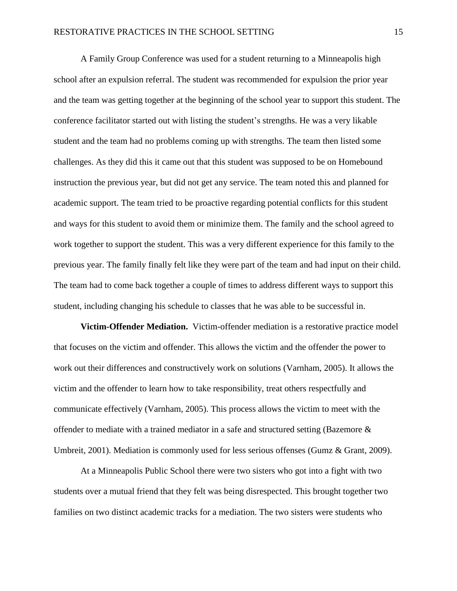A Family Group Conference was used for a student returning to a Minneapolis high school after an expulsion referral. The student was recommended for expulsion the prior year and the team was getting together at the beginning of the school year to support this student. The conference facilitator started out with listing the student's strengths. He was a very likable student and the team had no problems coming up with strengths. The team then listed some challenges. As they did this it came out that this student was supposed to be on Homebound instruction the previous year, but did not get any service. The team noted this and planned for academic support. The team tried to be proactive regarding potential conflicts for this student and ways for this student to avoid them or minimize them. The family and the school agreed to work together to support the student. This was a very different experience for this family to the previous year. The family finally felt like they were part of the team and had input on their child. The team had to come back together a couple of times to address different ways to support this student, including changing his schedule to classes that he was able to be successful in.

**Victim-Offender Mediation.** Victim-offender mediation is a restorative practice model that focuses on the victim and offender. This allows the victim and the offender the power to work out their differences and constructively work on solutions (Varnham, 2005). It allows the victim and the offender to learn how to take responsibility, treat others respectfully and communicate effectively (Varnham, 2005). This process allows the victim to meet with the offender to mediate with a trained mediator in a safe and structured setting (Bazemore  $\&$ Umbreit, 2001). Mediation is commonly used for less serious offenses (Gumz & Grant, 2009).

At a Minneapolis Public School there were two sisters who got into a fight with two students over a mutual friend that they felt was being disrespected. This brought together two families on two distinct academic tracks for a mediation. The two sisters were students who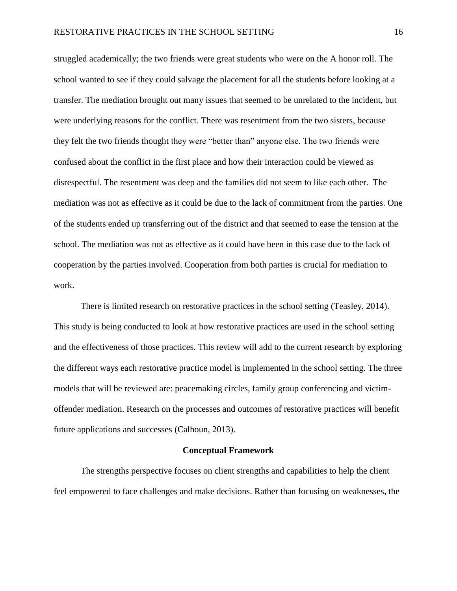struggled academically; the two friends were great students who were on the A honor roll. The school wanted to see if they could salvage the placement for all the students before looking at a transfer. The mediation brought out many issues that seemed to be unrelated to the incident, but were underlying reasons for the conflict. There was resentment from the two sisters, because they felt the two friends thought they were "better than" anyone else. The two friends were confused about the conflict in the first place and how their interaction could be viewed as disrespectful. The resentment was deep and the families did not seem to like each other. The mediation was not as effective as it could be due to the lack of commitment from the parties. One of the students ended up transferring out of the district and that seemed to ease the tension at the school. The mediation was not as effective as it could have been in this case due to the lack of cooperation by the parties involved. Cooperation from both parties is crucial for mediation to work.

There is limited research on restorative practices in the school setting (Teasley, 2014). This study is being conducted to look at how restorative practices are used in the school setting and the effectiveness of those practices. This review will add to the current research by exploring the different ways each restorative practice model is implemented in the school setting. The three models that will be reviewed are: peacemaking circles, family group conferencing and victimoffender mediation. Research on the processes and outcomes of restorative practices will benefit future applications and successes (Calhoun, 2013).

#### **Conceptual Framework**

The strengths perspective focuses on client strengths and capabilities to help the client feel empowered to face challenges and make decisions. Rather than focusing on weaknesses, the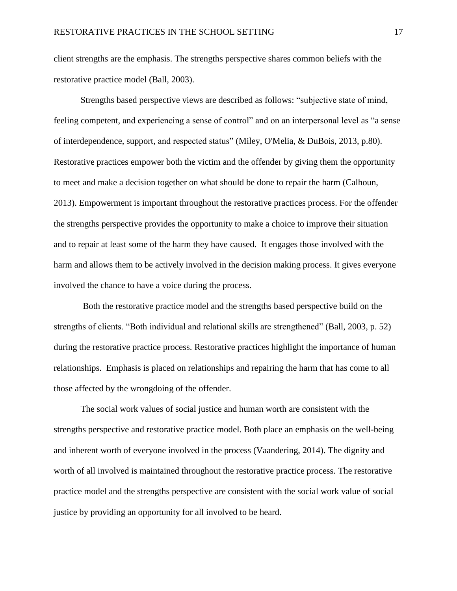client strengths are the emphasis. The strengths perspective shares common beliefs with the restorative practice model (Ball, 2003).

Strengths based perspective views are described as follows: "subjective state of mind, feeling competent, and experiencing a sense of control" and on an interpersonal level as "a sense of interdependence, support, and respected status" (Miley, O'Melia, & DuBois, 2013, p.80). Restorative practices empower both the victim and the offender by giving them the opportunity to meet and make a decision together on what should be done to repair the harm (Calhoun, 2013). Empowerment is important throughout the restorative practices process. For the offender the strengths perspective provides the opportunity to make a choice to improve their situation and to repair at least some of the harm they have caused. It engages those involved with the harm and allows them to be actively involved in the decision making process. It gives everyone involved the chance to have a voice during the process.

Both the restorative practice model and the strengths based perspective build on the strengths of clients. "Both individual and relational skills are strengthened" (Ball, 2003, p. 52) during the restorative practice process. Restorative practices highlight the importance of human relationships. Emphasis is placed on relationships and repairing the harm that has come to all those affected by the wrongdoing of the offender.

The social work values of social justice and human worth are consistent with the strengths perspective and restorative practice model. Both place an emphasis on the well-being and inherent worth of everyone involved in the process (Vaandering, 2014). The dignity and worth of all involved is maintained throughout the restorative practice process. The restorative practice model and the strengths perspective are consistent with the social work value of social justice by providing an opportunity for all involved to be heard.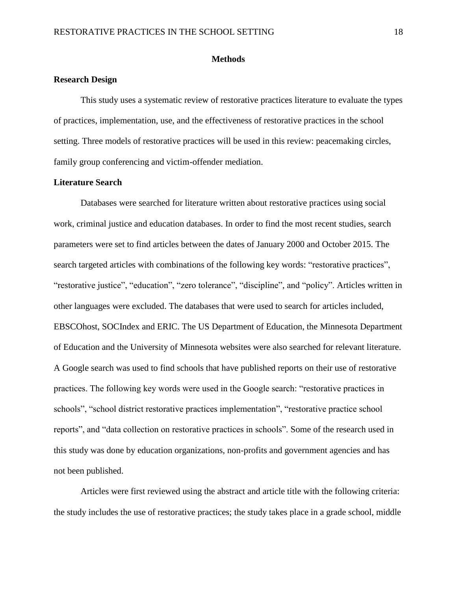#### **Methods**

### **Research Design**

This study uses a systematic review of restorative practices literature to evaluate the types of practices, implementation, use, and the effectiveness of restorative practices in the school setting. Three models of restorative practices will be used in this review: peacemaking circles, family group conferencing and victim-offender mediation.

# **Literature Search**

Databases were searched for literature written about restorative practices using social work, criminal justice and education databases. In order to find the most recent studies, search parameters were set to find articles between the dates of January 2000 and October 2015. The search targeted articles with combinations of the following key words: "restorative practices", "restorative justice", "education", "zero tolerance", "discipline", and "policy". Articles written in other languages were excluded. The databases that were used to search for articles included, EBSCOhost, SOCIndex and ERIC. The US Department of Education, the Minnesota Department of Education and the University of Minnesota websites were also searched for relevant literature. A Google search was used to find schools that have published reports on their use of restorative practices. The following key words were used in the Google search: "restorative practices in schools", "school district restorative practices implementation", "restorative practice school reports", and "data collection on restorative practices in schools". Some of the research used in this study was done by education organizations, non-profits and government agencies and has not been published.

Articles were first reviewed using the abstract and article title with the following criteria: the study includes the use of restorative practices; the study takes place in a grade school, middle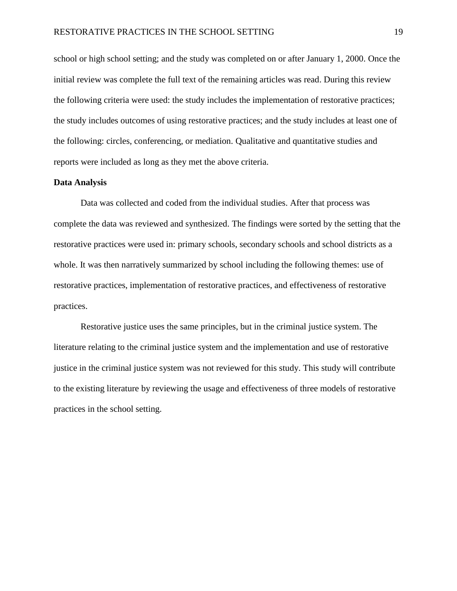school or high school setting; and the study was completed on or after January 1, 2000. Once the initial review was complete the full text of the remaining articles was read. During this review the following criteria were used: the study includes the implementation of restorative practices; the study includes outcomes of using restorative practices; and the study includes at least one of the following: circles, conferencing, or mediation. Qualitative and quantitative studies and reports were included as long as they met the above criteria.

#### **Data Analysis**

Data was collected and coded from the individual studies. After that process was complete the data was reviewed and synthesized. The findings were sorted by the setting that the restorative practices were used in: primary schools, secondary schools and school districts as a whole. It was then narratively summarized by school including the following themes: use of restorative practices, implementation of restorative practices, and effectiveness of restorative practices.

Restorative justice uses the same principles, but in the criminal justice system. The literature relating to the criminal justice system and the implementation and use of restorative justice in the criminal justice system was not reviewed for this study. This study will contribute to the existing literature by reviewing the usage and effectiveness of three models of restorative practices in the school setting.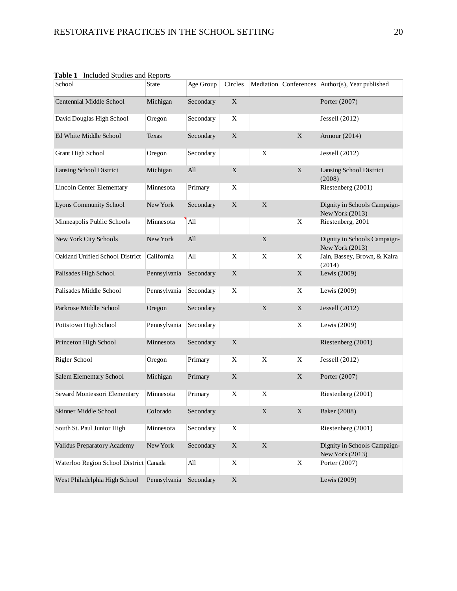| School                                 | <b>State</b> | Age Group | Circles     |             |             | Mediation Conferences Author(s), Year published |
|----------------------------------------|--------------|-----------|-------------|-------------|-------------|-------------------------------------------------|
| Centennial Middle School               | Michigan     | Secondary | $\mathbf X$ |             |             | Porter (2007)                                   |
| David Douglas High School              | Oregon       | Secondary | X           |             |             | Jessell $(2012)$                                |
| Ed White Middle School                 | Texas        | Secondary | $\mathbf X$ |             | $\mathbf X$ | Armour $(2014)$                                 |
| Grant High School                      | Oregon       | Secondary |             | X           |             | Jessell (2012)                                  |
| Lansing School District                | Michigan     | All       | $\mathbf X$ |             | $\mathbf X$ | Lansing School District<br>(2008)               |
| Lincoln Center Elementary              | Minnesota    | Primary   | X           |             |             | Riestenberg (2001)                              |
| Lyons Community School                 | New York     | Secondary | $\mathbf X$ | $\mathbf X$ |             | Dignity in Schools Campaign-<br>New York (2013) |
| Minneapolis Public Schools             | Minnesota    | All       |             |             | X           | Riestenberg, 2001                               |
| New York City Schools                  | New York     | All       |             | $\mathbf X$ |             | Dignity in Schools Campaign-<br>New York (2013) |
| Oakland Unified School District        | California   | All       | X           | $\mathbf X$ | $\mathbf X$ | Jain, Bassey, Brown, & Kalra<br>(2014)          |
| Palisades High School                  | Pennsylvania | Secondary | X           |             | $\mathbf X$ | Lewis (2009)                                    |
| Palisades Middle School                | Pennsylvania | Secondary | X           |             | X           | Lewis (2009)                                    |
| Parkrose Middle School                 | Oregon       | Secondary |             | $\mathbf X$ | X           | Jessell $(2012)$                                |
| Pottstown High School                  | Pennsylvania | Secondary |             |             | X           | Lewis (2009)                                    |
| Princeton High School                  | Minnesota    | Secondary | $\mathbf X$ |             |             | Riestenberg (2001)                              |
| Rigler School                          | Oregon       | Primary   | X           | X           | X           | Jessell (2012)                                  |
| Salem Elementary School                | Michigan     | Primary   | $\mathbf X$ |             | $\mathbf X$ | Porter (2007)                                   |
| Seward Montessori Elementary           | Minnesota    | Primary   | X           | X           |             | Riestenberg (2001)                              |
| Skinner Middle School                  | Colorado     | Secondary |             | X           | X           | Baker (2008)                                    |
| South St. Paul Junior High             | Minnesota    | Secondary | X           |             |             | Riestenberg (2001)                              |
| Validus Preparatory Academy            | New York     | Secondary | $\mathbf X$ | $\mathbf X$ |             | Dignity in Schools Campaign-<br>New York (2013) |
| Waterloo Region School District Canada |              | All       | X           |             | X           | Porter (2007)                                   |
| West Philadelphia High School          | Pennsylvania | Secondary | $\mathbf X$ |             |             | Lewis (2009)                                    |

**Table 1** Included Studies and Reports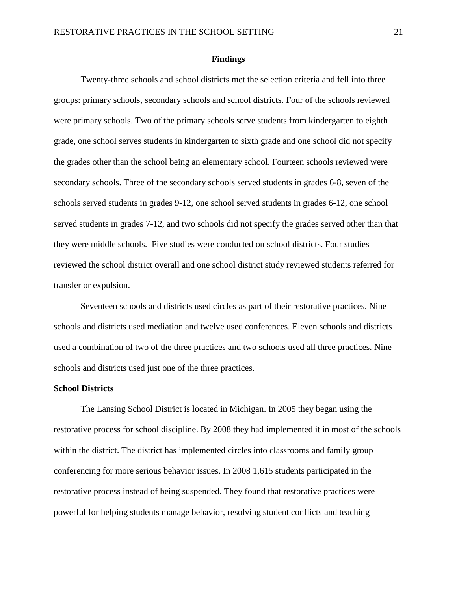#### **Findings**

Twenty-three schools and school districts met the selection criteria and fell into three groups: primary schools, secondary schools and school districts. Four of the schools reviewed were primary schools. Two of the primary schools serve students from kindergarten to eighth grade, one school serves students in kindergarten to sixth grade and one school did not specify the grades other than the school being an elementary school. Fourteen schools reviewed were secondary schools. Three of the secondary schools served students in grades 6-8, seven of the schools served students in grades 9-12, one school served students in grades 6-12, one school served students in grades 7-12, and two schools did not specify the grades served other than that they were middle schools. Five studies were conducted on school districts. Four studies reviewed the school district overall and one school district study reviewed students referred for transfer or expulsion.

Seventeen schools and districts used circles as part of their restorative practices. Nine schools and districts used mediation and twelve used conferences. Eleven schools and districts used a combination of two of the three practices and two schools used all three practices. Nine schools and districts used just one of the three practices.

#### **School Districts**

The Lansing School District is located in Michigan. In 2005 they began using the restorative process for school discipline. By 2008 they had implemented it in most of the schools within the district. The district has implemented circles into classrooms and family group conferencing for more serious behavior issues. In 2008 1,615 students participated in the restorative process instead of being suspended. They found that restorative practices were powerful for helping students manage behavior, resolving student conflicts and teaching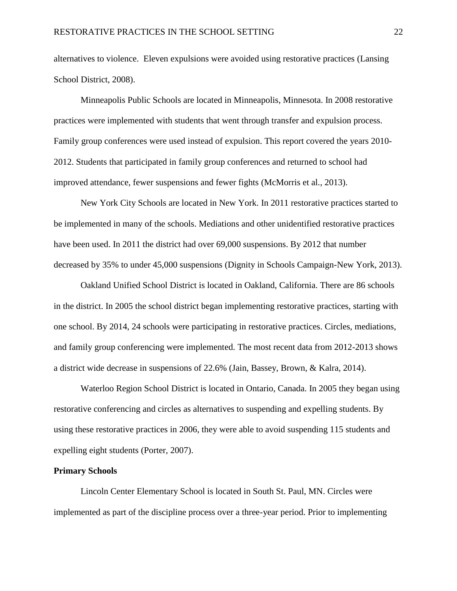alternatives to violence. Eleven expulsions were avoided using restorative practices (Lansing School District, 2008).

Minneapolis Public Schools are located in Minneapolis, Minnesota. In 2008 restorative practices were implemented with students that went through transfer and expulsion process. Family group conferences were used instead of expulsion. This report covered the years 2010- 2012. Students that participated in family group conferences and returned to school had improved attendance, fewer suspensions and fewer fights (McMorris et al., 2013).

New York City Schools are located in New York. In 2011 restorative practices started to be implemented in many of the schools. Mediations and other unidentified restorative practices have been used. In 2011 the district had over 69,000 suspensions. By 2012 that number decreased by 35% to under 45,000 suspensions (Dignity in Schools Campaign-New York, 2013).

Oakland Unified School District is located in Oakland, California. There are 86 schools in the district. In 2005 the school district began implementing restorative practices, starting with one school. By 2014, 24 schools were participating in restorative practices. Circles, mediations, and family group conferencing were implemented. The most recent data from 2012-2013 shows a district wide decrease in suspensions of 22.6% (Jain, Bassey, Brown, & Kalra, 2014).

Waterloo Region School District is located in Ontario, Canada. In 2005 they began using restorative conferencing and circles as alternatives to suspending and expelling students. By using these restorative practices in 2006, they were able to avoid suspending 115 students and expelling eight students (Porter, 2007).

### **Primary Schools**

Lincoln Center Elementary School is located in South St. Paul, MN. Circles were implemented as part of the discipline process over a three-year period. Prior to implementing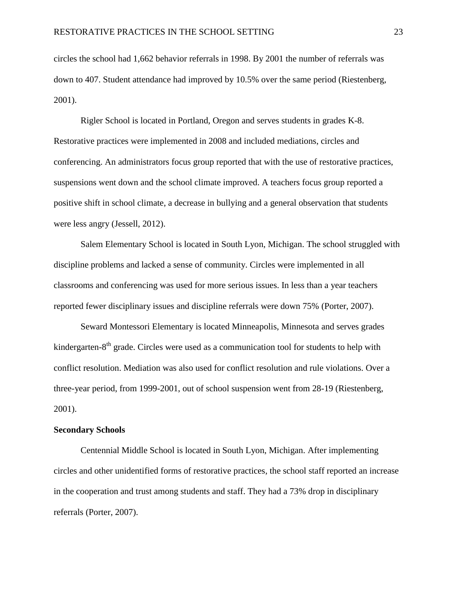circles the school had 1,662 behavior referrals in 1998. By 2001 the number of referrals was down to 407. Student attendance had improved by 10.5% over the same period (Riestenberg, 2001).

Rigler School is located in Portland, Oregon and serves students in grades K-8. Restorative practices were implemented in 2008 and included mediations, circles and conferencing. An administrators focus group reported that with the use of restorative practices, suspensions went down and the school climate improved. A teachers focus group reported a positive shift in school climate, a decrease in bullying and a general observation that students were less angry (Jessell, 2012).

Salem Elementary School is located in South Lyon, Michigan. The school struggled with discipline problems and lacked a sense of community. Circles were implemented in all classrooms and conferencing was used for more serious issues. In less than a year teachers reported fewer disciplinary issues and discipline referrals were down 75% (Porter, 2007).

Seward Montessori Elementary is located Minneapolis, Minnesota and serves grades kindergarten-8<sup>th</sup> grade. Circles were used as a communication tool for students to help with conflict resolution. Mediation was also used for conflict resolution and rule violations. Over a three-year period, from 1999-2001, out of school suspension went from 28-19 (Riestenberg, 2001).

#### **Secondary Schools**

Centennial Middle School is located in South Lyon, Michigan. After implementing circles and other unidentified forms of restorative practices, the school staff reported an increase in the cooperation and trust among students and staff. They had a 73% drop in disciplinary referrals (Porter, 2007).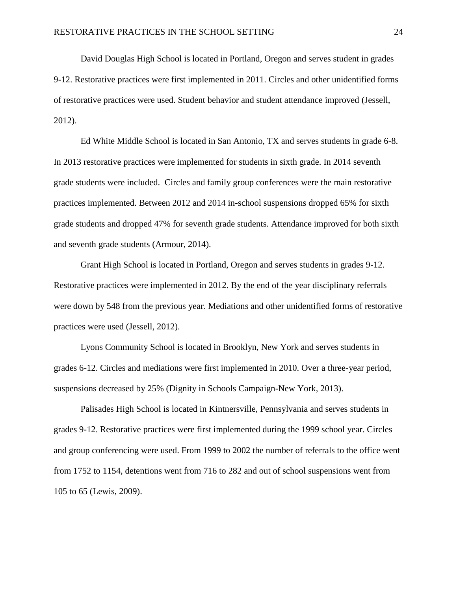David Douglas High School is located in Portland, Oregon and serves student in grades 9-12. Restorative practices were first implemented in 2011. Circles and other unidentified forms of restorative practices were used. Student behavior and student attendance improved (Jessell, 2012).

Ed White Middle School is located in San Antonio, TX and serves students in grade 6-8. In 2013 restorative practices were implemented for students in sixth grade. In 2014 seventh grade students were included. Circles and family group conferences were the main restorative practices implemented. Between 2012 and 2014 in-school suspensions dropped 65% for sixth grade students and dropped 47% for seventh grade students. Attendance improved for both sixth and seventh grade students (Armour, 2014).

Grant High School is located in Portland, Oregon and serves students in grades 9-12. Restorative practices were implemented in 2012. By the end of the year disciplinary referrals were down by 548 from the previous year. Mediations and other unidentified forms of restorative practices were used (Jessell, 2012).

Lyons Community School is located in Brooklyn, New York and serves students in grades 6-12. Circles and mediations were first implemented in 2010. Over a three-year period, suspensions decreased by 25% (Dignity in Schools Campaign-New York, 2013).

Palisades High School is located in Kintnersville, Pennsylvania and serves students in grades 9-12. Restorative practices were first implemented during the 1999 school year. Circles and group conferencing were used. From 1999 to 2002 the number of referrals to the office went from 1752 to 1154, detentions went from 716 to 282 and out of school suspensions went from 105 to 65 (Lewis, 2009).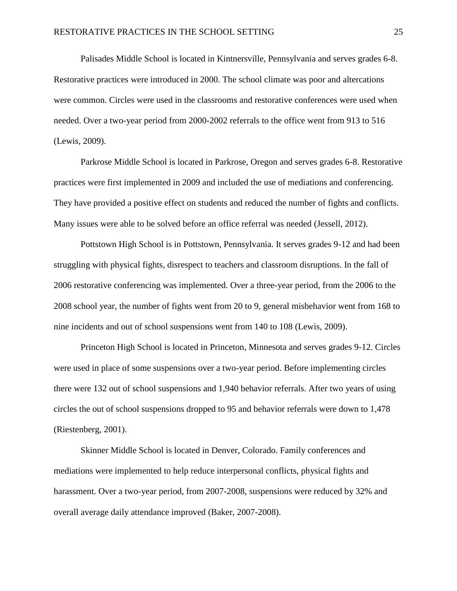Palisades Middle School is located in Kintnersville, Pennsylvania and serves grades 6-8. Restorative practices were introduced in 2000. The school climate was poor and altercations were common. Circles were used in the classrooms and restorative conferences were used when needed. Over a two-year period from 2000-2002 referrals to the office went from 913 to 516 (Lewis, 2009).

Parkrose Middle School is located in Parkrose, Oregon and serves grades 6-8. Restorative practices were first implemented in 2009 and included the use of mediations and conferencing. They have provided a positive effect on students and reduced the number of fights and conflicts. Many issues were able to be solved before an office referral was needed (Jessell, 2012).

Pottstown High School is in Pottstown, Pennsylvania. It serves grades 9-12 and had been struggling with physical fights, disrespect to teachers and classroom disruptions. In the fall of 2006 restorative conferencing was implemented. Over a three-year period, from the 2006 to the 2008 school year, the number of fights went from 20 to 9, general misbehavior went from 168 to nine incidents and out of school suspensions went from 140 to 108 (Lewis, 2009).

Princeton High School is located in Princeton, Minnesota and serves grades 9-12. Circles were used in place of some suspensions over a two-year period. Before implementing circles there were 132 out of school suspensions and 1,940 behavior referrals. After two years of using circles the out of school suspensions dropped to 95 and behavior referrals were down to 1,478 (Riestenberg, 2001).

Skinner Middle School is located in Denver, Colorado. Family conferences and mediations were implemented to help reduce interpersonal conflicts, physical fights and harassment. Over a two-year period, from 2007-2008, suspensions were reduced by 32% and overall average daily attendance improved (Baker, 2007-2008).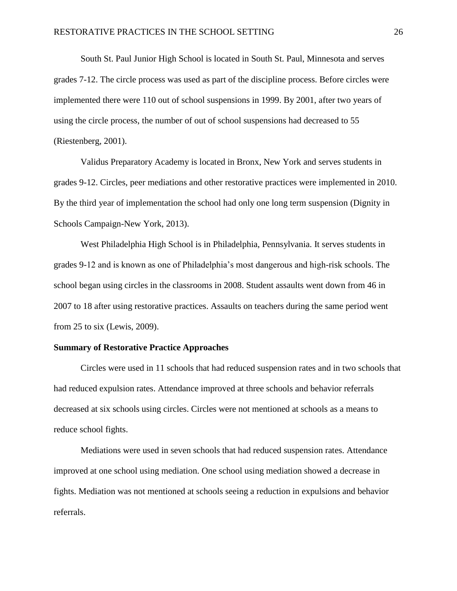South St. Paul Junior High School is located in South St. Paul, Minnesota and serves grades 7-12. The circle process was used as part of the discipline process. Before circles were implemented there were 110 out of school suspensions in 1999. By 2001, after two years of using the circle process, the number of out of school suspensions had decreased to 55 (Riestenberg, 2001).

Validus Preparatory Academy is located in Bronx, New York and serves students in grades 9-12. Circles, peer mediations and other restorative practices were implemented in 2010. By the third year of implementation the school had only one long term suspension (Dignity in Schools Campaign-New York, 2013).

West Philadelphia High School is in Philadelphia, Pennsylvania. It serves students in grades 9-12 and is known as one of Philadelphia's most dangerous and high-risk schools. The school began using circles in the classrooms in 2008. Student assaults went down from 46 in 2007 to 18 after using restorative practices. Assaults on teachers during the same period went from 25 to six (Lewis, 2009).

#### **Summary of Restorative Practice Approaches**

Circles were used in 11 schools that had reduced suspension rates and in two schools that had reduced expulsion rates. Attendance improved at three schools and behavior referrals decreased at six schools using circles. Circles were not mentioned at schools as a means to reduce school fights.

Mediations were used in seven schools that had reduced suspension rates. Attendance improved at one school using mediation. One school using mediation showed a decrease in fights. Mediation was not mentioned at schools seeing a reduction in expulsions and behavior referrals.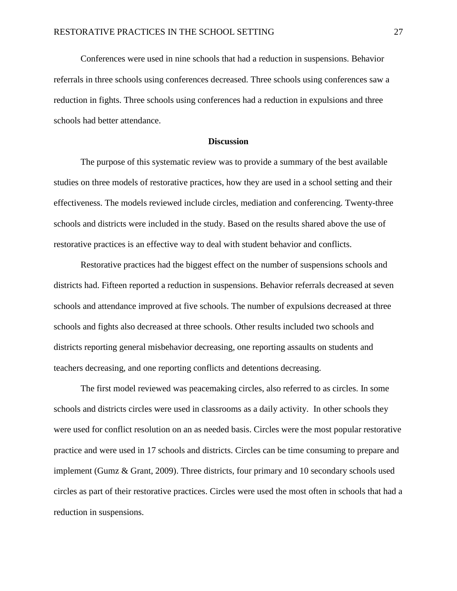Conferences were used in nine schools that had a reduction in suspensions. Behavior referrals in three schools using conferences decreased. Three schools using conferences saw a reduction in fights. Three schools using conferences had a reduction in expulsions and three schools had better attendance.

#### **Discussion**

The purpose of this systematic review was to provide a summary of the best available studies on three models of restorative practices, how they are used in a school setting and their effectiveness. The models reviewed include circles, mediation and conferencing. Twenty-three schools and districts were included in the study. Based on the results shared above the use of restorative practices is an effective way to deal with student behavior and conflicts.

Restorative practices had the biggest effect on the number of suspensions schools and districts had. Fifteen reported a reduction in suspensions. Behavior referrals decreased at seven schools and attendance improved at five schools. The number of expulsions decreased at three schools and fights also decreased at three schools. Other results included two schools and districts reporting general misbehavior decreasing, one reporting assaults on students and teachers decreasing, and one reporting conflicts and detentions decreasing.

The first model reviewed was peacemaking circles, also referred to as circles. In some schools and districts circles were used in classrooms as a daily activity. In other schools they were used for conflict resolution on an as needed basis. Circles were the most popular restorative practice and were used in 17 schools and districts. Circles can be time consuming to prepare and implement (Gumz & Grant, 2009). Three districts, four primary and 10 secondary schools used circles as part of their restorative practices. Circles were used the most often in schools that had a reduction in suspensions.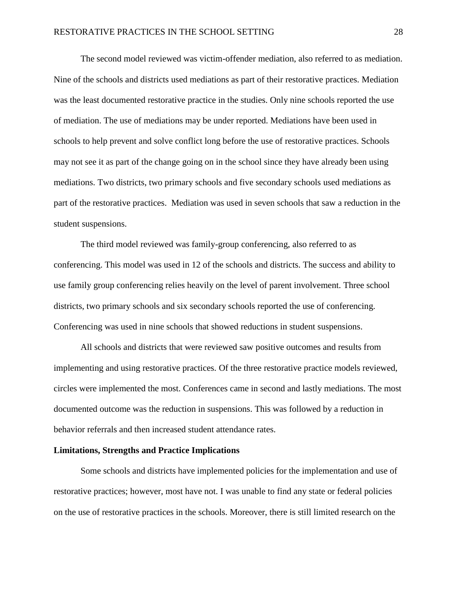The second model reviewed was victim-offender mediation, also referred to as mediation. Nine of the schools and districts used mediations as part of their restorative practices. Mediation was the least documented restorative practice in the studies. Only nine schools reported the use of mediation. The use of mediations may be under reported. Mediations have been used in schools to help prevent and solve conflict long before the use of restorative practices. Schools may not see it as part of the change going on in the school since they have already been using mediations. Two districts, two primary schools and five secondary schools used mediations as part of the restorative practices. Mediation was used in seven schools that saw a reduction in the student suspensions.

The third model reviewed was family-group conferencing, also referred to as conferencing. This model was used in 12 of the schools and districts. The success and ability to use family group conferencing relies heavily on the level of parent involvement. Three school districts, two primary schools and six secondary schools reported the use of conferencing. Conferencing was used in nine schools that showed reductions in student suspensions.

All schools and districts that were reviewed saw positive outcomes and results from implementing and using restorative practices. Of the three restorative practice models reviewed, circles were implemented the most. Conferences came in second and lastly mediations. The most documented outcome was the reduction in suspensions. This was followed by a reduction in behavior referrals and then increased student attendance rates.

### **Limitations, Strengths and Practice Implications**

Some schools and districts have implemented policies for the implementation and use of restorative practices; however, most have not. I was unable to find any state or federal policies on the use of restorative practices in the schools. Moreover, there is still limited research on the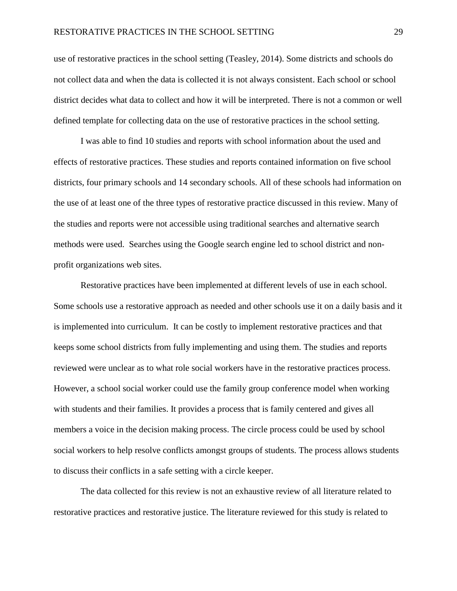use of restorative practices in the school setting (Teasley, 2014). Some districts and schools do not collect data and when the data is collected it is not always consistent. Each school or school district decides what data to collect and how it will be interpreted. There is not a common or well defined template for collecting data on the use of restorative practices in the school setting.

I was able to find 10 studies and reports with school information about the used and effects of restorative practices. These studies and reports contained information on five school districts, four primary schools and 14 secondary schools. All of these schools had information on the use of at least one of the three types of restorative practice discussed in this review. Many of the studies and reports were not accessible using traditional searches and alternative search methods were used. Searches using the Google search engine led to school district and nonprofit organizations web sites.

Restorative practices have been implemented at different levels of use in each school. Some schools use a restorative approach as needed and other schools use it on a daily basis and it is implemented into curriculum. It can be costly to implement restorative practices and that keeps some school districts from fully implementing and using them. The studies and reports reviewed were unclear as to what role social workers have in the restorative practices process. However, a school social worker could use the family group conference model when working with students and their families. It provides a process that is family centered and gives all members a voice in the decision making process. The circle process could be used by school social workers to help resolve conflicts amongst groups of students. The process allows students to discuss their conflicts in a safe setting with a circle keeper.

The data collected for this review is not an exhaustive review of all literature related to restorative practices and restorative justice. The literature reviewed for this study is related to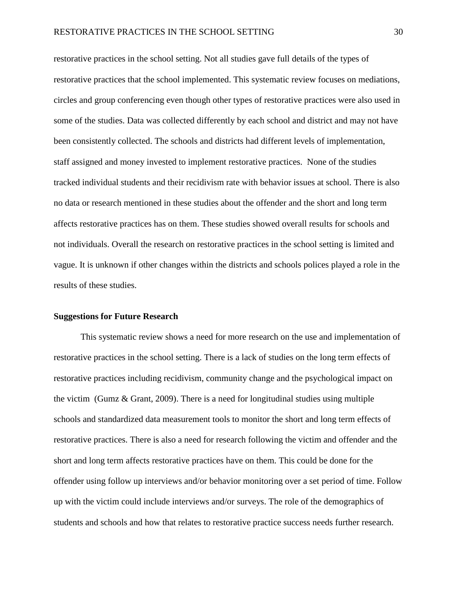restorative practices in the school setting. Not all studies gave full details of the types of restorative practices that the school implemented. This systematic review focuses on mediations, circles and group conferencing even though other types of restorative practices were also used in some of the studies. Data was collected differently by each school and district and may not have been consistently collected. The schools and districts had different levels of implementation, staff assigned and money invested to implement restorative practices. None of the studies tracked individual students and their recidivism rate with behavior issues at school. There is also no data or research mentioned in these studies about the offender and the short and long term affects restorative practices has on them. These studies showed overall results for schools and not individuals. Overall the research on restorative practices in the school setting is limited and vague. It is unknown if other changes within the districts and schools polices played a role in the results of these studies.

#### **Suggestions for Future Research**

This systematic review shows a need for more research on the use and implementation of restorative practices in the school setting. There is a lack of studies on the long term effects of restorative practices including recidivism, community change and the psychological impact on the victim (Gumz & Grant, 2009). There is a need for longitudinal studies using multiple schools and standardized data measurement tools to monitor the short and long term effects of restorative practices. There is also a need for research following the victim and offender and the short and long term affects restorative practices have on them. This could be done for the offender using follow up interviews and/or behavior monitoring over a set period of time. Follow up with the victim could include interviews and/or surveys. The role of the demographics of students and schools and how that relates to restorative practice success needs further research.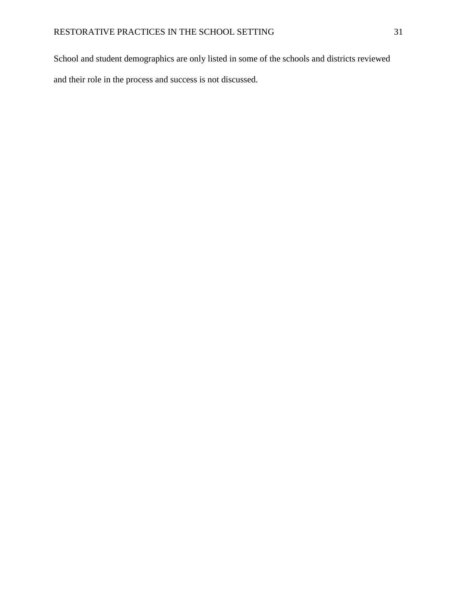School and student demographics are only listed in some of the schools and districts reviewed and their role in the process and success is not discussed.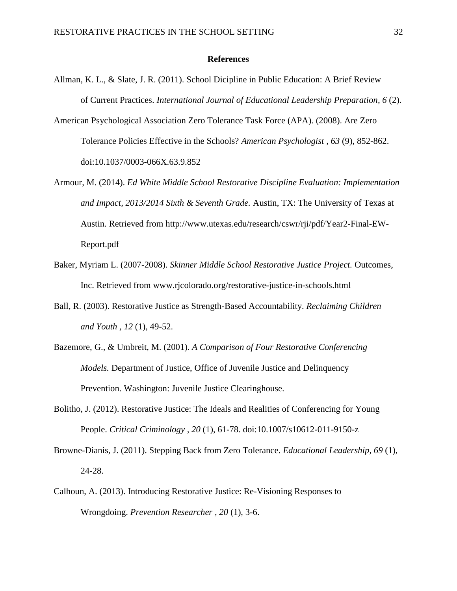#### **References**

- Allman, K. L., & Slate, J. R. (2011). School Dicipline in Public Education: A Brief Review of Current Practices. *International Journal of Educational Leadership Preparation, 6* (2).
- American Psychological Association Zero Tolerance Task Force (APA). (2008). Are Zero Tolerance Policies Effective in the Schools? *American Psychologist , 63* (9), 852-862. doi:10.1037/0003-066X.63.9.852
- Armour, M. (2014). *Ed White Middle School Restorative Discipline Evaluation: Implementation and Impact, 2013/2014 Sixth & Seventh Grade.* Austin, TX: The University of Texas at Austin. Retrieved from [http://www.utexas.edu/research/cswr/rji/pdf/Year2-Final-EW-](http://www.utexas.edu/research/cswr/rji/pdf/Year2-Final-EW-Report.pdf)[Report.pdf](http://www.utexas.edu/research/cswr/rji/pdf/Year2-Final-EW-Report.pdf)
- Baker, Myriam L. (2007-2008). *Skinner Middle School Restorative Justice Project.* Outcomes, Inc. Retrieved from www.rjcolorado.org/restorative-justice-in-schools.html
- Ball, R. (2003). Restorative Justice as Strength-Based Accountability. *Reclaiming Children and Youth , 12* (1), 49-52.
- Bazemore, G., & Umbreit, M. (2001). *A Comparison of Four Restorative Conferencing Models.* Department of Justice, Office of Juvenile Justice and Delinquency Prevention. Washington: Juvenile Justice Clearinghouse.
- Bolitho, J. (2012). Restorative Justice: The Ideals and Realities of Conferencing for Young People. *Critical Criminology , 20* (1), 61-78. doi:10.1007/s10612-011-9150-z
- Browne-Dianis, J. (2011). Stepping Back from Zero Tolerance. *Educational Leadership, 69* (1), 24-28.
- Calhoun, A. (2013). Introducing Restorative Justice: Re-Visioning Responses to Wrongdoing. *Prevention Researcher , 20* (1), 3-6.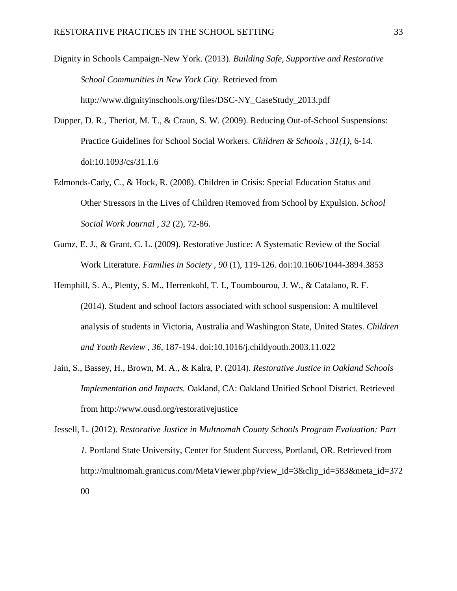Dignity in Schools Campaign-New York. (2013). *Building Safe, Supportive and Restorative School Communities in New York City.* Retrieved from http://www.dignityinschools.org/files/DSC-NY\_CaseStudy\_2013.pdf

- Dupper, D. R., Theriot, M. T., & Craun, S. W. (2009). Reducing Out-of-School Suspensions: Practice Guidelines for School Social Workers. *Children & Schools , 31(1)*, 6-14. doi:10.1093/cs/31.1.6
- Edmonds-Cady, C., & Hock, R. (2008). Children in Crisis: Special Education Status and Other Stressors in the Lives of Children Removed from School by Expulsion. *School Social Work Journal , 32* (2), 72-86.
- Gumz, E. J., & Grant, C. L. (2009). Restorative Justice: A Systematic Review of the Social Work Literature. *Families in Society , 90* (1), 119-126. doi:10.1606/1044-3894.3853
- Hemphill, S. A., Plenty, S. M., Herrenkohl, T. I., Toumbourou, J. W., & Catalano, R. F. (2014). Student and school factors associated with school suspension: A multilevel analysis of students in Victoria, Australia and Washington State, United States. *Children and Youth Review , 36*, 187-194. doi:10.1016/j.childyouth.2003.11.022
- Jain, S., Bassey, H., Brown, M. A., & Kalra, P. (2014). *Restorative Justice in Oakland Schools Implementation and Impacts.* Oakland, CA: Oakland Unified School District. Retrieved from http://www.ousd.org/restorativejustice
- Jessell, L. (2012). *Restorative Justice in Multnomah County Schools Program Evaluation: Part 1.* Portland State University, Center for Student Success, Portland, OR. Retrieved from http://multnomah.granicus.com/MetaViewer.php?view\_id=3&clip\_id=583&meta\_id=372 00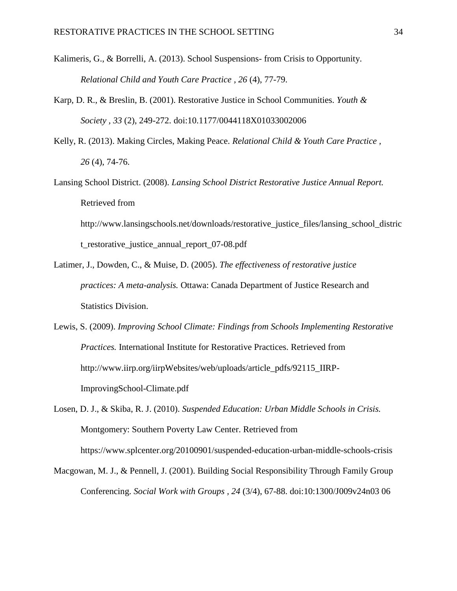- Kalimeris, G., & Borrelli, A. (2013). School Suspensions- from Crisis to Opportunity. *Relational Child and Youth Care Practice , 26* (4), 77-79.
- Karp, D. R., & Breslin, B. (2001). Restorative Justice in School Communities. *Youth & Society , 33* (2), 249-272. doi:10.1177/0044118X01033002006
- Kelly, R. (2013). Making Circles, Making Peace. *Relational Child & Youth Care Practice , 26* (4), 74-76.
- Lansing School District. (2008). *Lansing School District Restorative Justice Annual Report.* Retrieved from http://www.lansingschools.net/downloads/restorative\_justice\_files/lansing\_school\_distric t\_restorative\_justice\_annual\_report\_07-08.pdf
- Latimer, J., Dowden, C., & Muise, D. (2005). *The effectiveness of restorative justice practices: A meta-analysis.* Ottawa: Canada Department of Justice Research and Statistics Division.
- Lewis, S. (2009). *Improving School Climate: Findings from Schools Implementing Restorative Practices.* International Institute for Restorative Practices. Retrieved from http://www.iirp.org/iirpWebsites/web/uploads/article\_pdfs/92115\_IIRP-ImprovingSchool-Climate.pdf
- Losen, D. J., & Skiba, R. J. (2010). *Suspended Education: Urban Middle Schools in Crisis.* Montgomery: Southern Poverty Law Center. Retrieved from https://www.splcenter.org/20100901/suspended-education-urban-middle-schools-crisis
- Macgowan, M. J., & Pennell, J. (2001). Building Social Responsibility Through Family Group Conferencing. *Social Work with Groups , 24* (3/4), 67-88. doi:10:1300/J009v24n03 06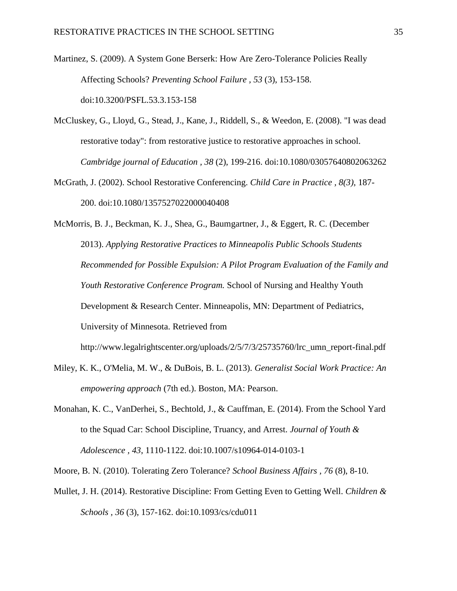Martinez, S. (2009). A System Gone Berserk: How Are Zero-Tolerance Policies Really Affecting Schools? *Preventing School Failure , 53* (3), 153-158. doi:10.3200/PSFL.53.3.153-158

- McCluskey, G., Lloyd, G., Stead, J., Kane, J., Riddell, S., & Weedon, E. (2008). "I was dead restorative today": from restorative justice to restorative approaches in school. *Cambridge journal of Education , 38* (2), 199-216. doi:10.1080/03057640802063262
- McGrath, J. (2002). School Restorative Conferencing. *Child Care in Practice , 8(3)*, 187- 200. doi:10.1080/1357527022000040408

McMorris, B. J., Beckman, K. J., Shea, G., Baumgartner, J., & Eggert, R. C. (December 2013). *Applying Restorative Practices to Minneapolis Public Schools Students Recommended for Possible Expulsion: A Pilot Program Evaluation of the Family and Youth Restorative Conference Program.* School of Nursing and Healthy Youth Development & Research Center. Minneapolis, MN: Department of Pediatrics, University of Minnesota. Retrieved from

http://www.legalrightscenter.org/uploads/2/5/7/3/25735760/lrc\_umn\_report-final.pdf

- Miley, K. K., O'Melia, M. W., & DuBois, B. L. (2013). *Generalist Social Work Practice: An empowering approach* (7th ed.). Boston, MA: Pearson.
- Monahan, K. C., VanDerhei, S., Bechtold, J., & Cauffman, E. (2014). From the School Yard to the Squad Car: School Discipline, Truancy, and Arrest. *Journal of Youth & Adolescence , 43*, 1110-1122. doi:10.1007/s10964-014-0103-1

Moore, B. N. (2010). Tolerating Zero Tolerance? *School Business Affairs , 76* (8), 8-10.

Mullet, J. H. (2014). Restorative Discipline: From Getting Even to Getting Well. *Children & Schools , 36* (3), 157-162. doi:10.1093/cs/cdu011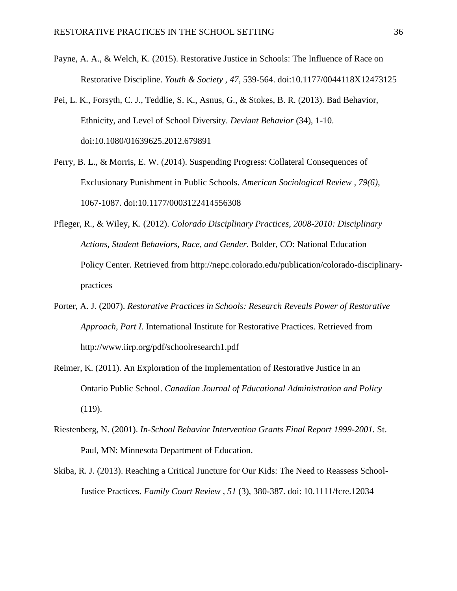- Payne, A. A., & Welch, K. (2015). Restorative Justice in Schools: The Influence of Race on Restorative Discipline. *Youth & Society , 47*, 539-564. doi:10.1177/0044118X12473125
- Pei, L. K., Forsyth, C. J., Teddlie, S. K., Asnus, G., & Stokes, B. R. (2013). Bad Behavior, Ethnicity, and Level of School Diversity. *Deviant Behavior* (34), 1-10. doi:10.1080/01639625.2012.679891
- Perry, B. L., & Morris, E. W. (2014). Suspending Progress: Collateral Consequences of Exclusionary Punishment in Public Schools. *American Sociological Review , 79(6)*, 1067-1087. doi:10.1177/0003122414556308
- Pfleger, R., & Wiley, K. (2012). *Colorado Disciplinary Practices, 2008-2010: Disciplinary Actions, Student Behaviors, Race, and Gender.* Bolder, CO: National Education Policy Center. Retrieved from [http://nepc.colorado.edu/publication/colorado-disciplinary](http://nepc.colorado.edu/publication/colorado-disciplinary-practices)[practices](http://nepc.colorado.edu/publication/colorado-disciplinary-practices)
- Porter, A. J. (2007). *Restorative Practices in Schools: Research Reveals Power of Restorative Approach, Part I.* International Institute for Restorative Practices. Retrieved from http://www.iirp.org/pdf/schoolresearch1.pdf
- Reimer, K. (2011). An Exploration of the Implementation of Restorative Justice in an Ontario Public School. *Canadian Journal of Educational Administration and Policy* (119).
- Riestenberg, N. (2001). *In-School Behavior Intervention Grants Final Report 1999-2001.* St. Paul, MN: Minnesota Department of Education.
- Skiba, R. J. (2013). Reaching a Critical Juncture for Our Kids: The Need to Reassess School-Justice Practices. *Family Court Review , 51* (3), 380-387. doi: 10.1111/fcre.12034